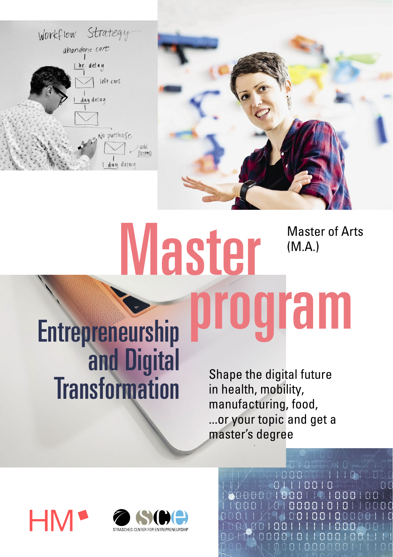



# **Master** program Master of Arts (M.A.)

Shape the digital future in health, mobility, manufacturing, food, ...or your topic and get a master's degree

KOMANAN

**INCLOSED AND THE REAL PROPERTY OF A SECOND PROPERTY** TI 00 I

88881818

88

 $0.0101$   $0.002$ 

10010001

00100006

**AA** 

**Entrepreneurship** and Digital **Transformation** 

**HN** 

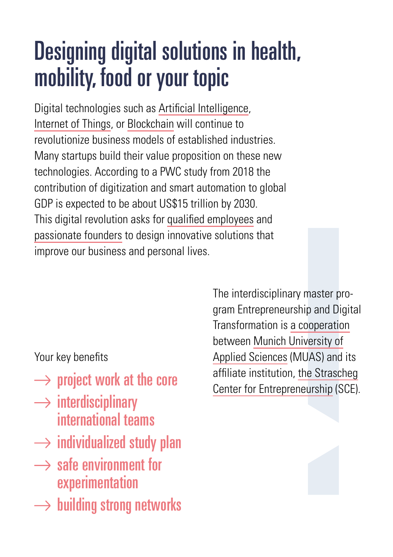## Designing digital solutions in health, mobility, food or your topic

Digital technologies such as Artificial Intelligence, Internet of Things, or Blockchain will continue to revolutionize business models of established industries. Many startups build their value proposition on these new technologies. According to a PWC study from 2018 the contribution of digitization and smart automation to global GDP is expected to be about US\$15 trillion by 2030. This digital revolution asks for qualified employees and passionate founders to design innovative solutions that improve our business and personal lives.

Your key benefits

- $\rightarrow$  project work at the core
- $\rightarrow$  interdisciplinary international teams
- $\rightarrow$  individualized study plan
- $\rightarrow$  safe environment for experimentation
- $\rightarrow$  building strong networks

The interdisciplinary master program Entrepreneurship and Digital Transformation is a cooperation between Munich University of Applied Sciences (MUAS) and its affiliate institution, the Strascheg Center for Entrepreneurship (SCE).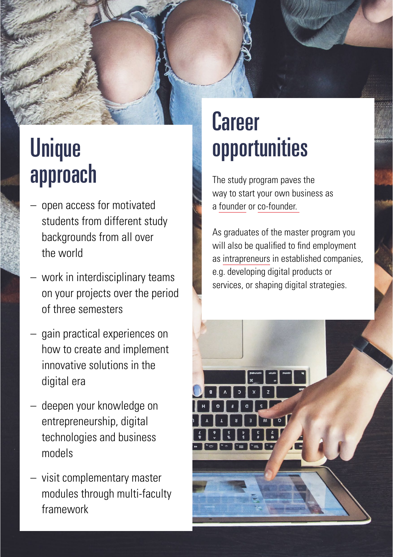## Unique approach

- open access for motivated students from different study backgrounds from all over the world
- work in interdisciplinary teams on your projects over the period of three semesters
- gain practical experiences on how to create and implement innovative solutions in the digital era
- deepen your knowledge on entrepreneurship, digital technologies and business models
- visit complementary master modules through multi-faculty framework

## Career opportunities

The study program paves the way to start your own business as a founder or co-founder.

As graduates of the master program you will also be qualified to find employment as intrapreneurs in established companies, e.g. developing digital products or services, or shaping digital strategies.

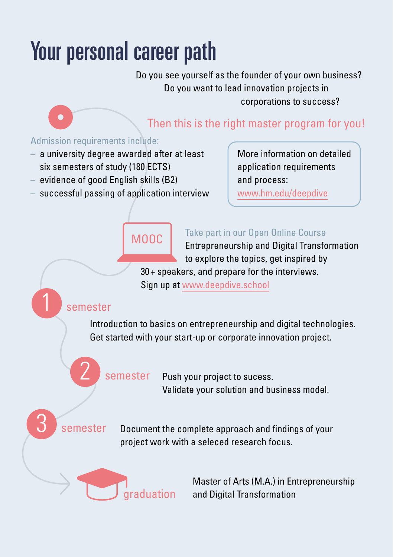# Your personal career path

Do you see yourself as the founder of your own business? Do you want to lead innovation projects in corporations to success?

## Then this is the right master program for you!

#### Admission requirements include:

- a university degree awarded after at least six semesters of study (180 ECTS)
- evidence of good English skills (B2)
- successful passing of application interview

More information on detailed application requirements and process:

www.hm.edu/deepdive

## MOOC

*<u>draduation</u>* 

#### Take part in our Open Online Course

Entrepreneurship and Digital Transformation to explore the topics, get inspired by

30+ speakers, and prepare for the interviews. Sign up at www.deepdive.school

### **semester**

Introduction to basics on entrepreneurship and digital technologies. Get started with your start-up or corporate innovation project.

Push your project to sucess. Validate your solution and business model. **semester** 

**semester** 

Document the complete approach and findings of your project work with a seleced research focus.

> Master of Arts (M.A.) in Entrepreneurship and Digital Transformation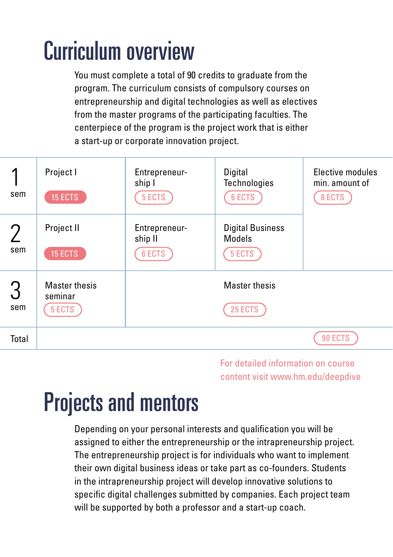# Curriculum overview

You must complete a total of 90 credits to graduate from the program. The curriculum consists of compulsory courses on entrepreneurship and digital technologies as well as electives from the master programs of the participating faculties. The centerpiece of the program is the project work that is either a start-up or corporate innovation project.

| sem      | Project I<br>15 ECTS                      | Entrepreneur-<br>ship I<br>5 ECTS  | Digital<br><b>Technologies</b><br>6 ECTS           | Elective modules<br>min. amount of<br>8 ECTS |
|----------|-------------------------------------------|------------------------------------|----------------------------------------------------|----------------------------------------------|
| sem      | Project II<br>15 ECTS                     | Entrepreneur-<br>ship II<br>6 ECTS | <b>Digital Business</b><br><b>Models</b><br>5 ECTS |                                              |
| З<br>sem | <b>Master thesis</b><br>seminar<br>5 ECTS |                                    | <b>Master thesis</b><br>25 ECTS                    |                                              |
| Total    |                                           |                                    |                                                    | 90 ECTS                                      |

For detailed information on course content visit www.hm.edu/deepdive

## Projects and mentors

Depending on your personal interests and qualification you will be assigned to either the entrepreneurship or the intrapreneurship project. The entrepreneurship project is for individuals who want to implement their own digital business ideas or take part as co-founders. Students in the intrapreneurship project will develop innovative solutions to specific digital challenges submitted by companies. Each project team will be supported by both a professor and a start-up coach.